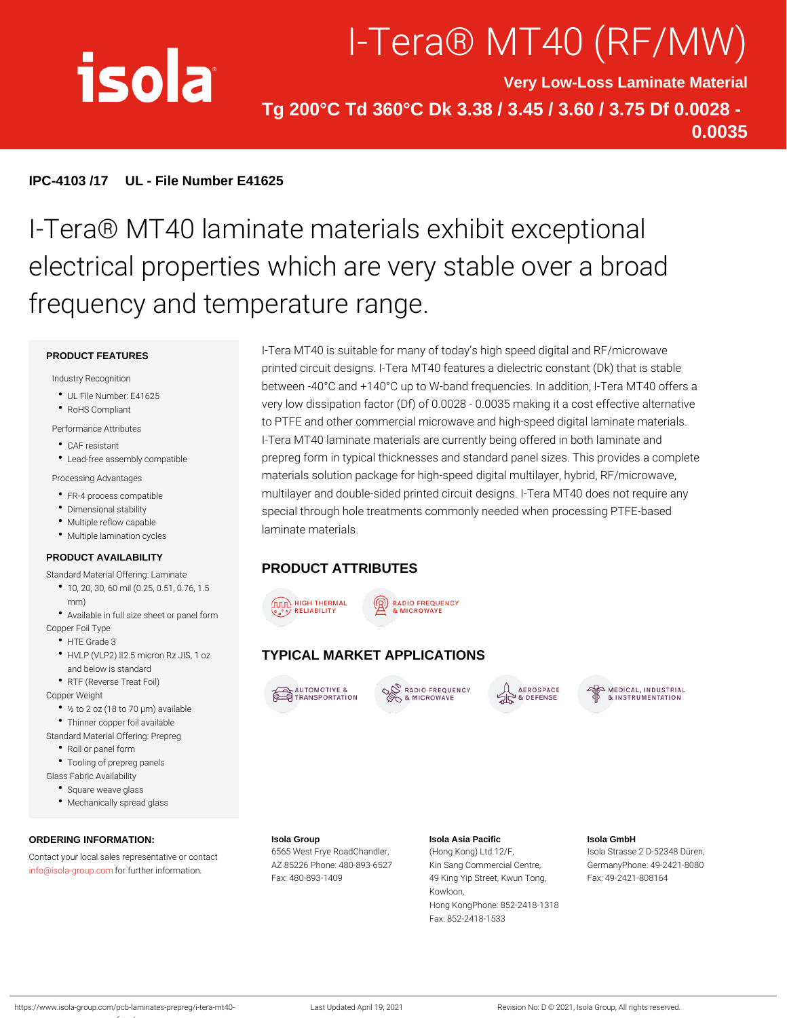# I-Tera® MT40 (F

Very Low-Loss Laminate Material Tg 200°C Td 360°C Dk 3.38 / 3.45 / 3.60 / 3.75 Df 0.0028 - 0.0035

IPC-4103 /17 UL - File Number E41625

## I-Tera® MT40 laminate materials exhibi electrical properties which are very sta frequency and temperature range.

#### PRODUCT FEATURES

Industry Recognition

- UL File Number: E41625
- RoHS Compliant

#### Performance Attributes

- CAF resistant
- 

Processing Advantages

- FR-4 process compatible
- Dimensional stability
- Multiple reflow capable
- Multiple lamination cycles

#### PRODUCT AVAILABILITY

### Standard Material Offering: Laminate PRODUCT ATTRIBUTES

- 10, 20, 30, 60 mil (0.25, 0.51, 0.76, 1.5 mm)
- Available in full size sheet or panel form
- Copper Foil Type
	- HTE Grade 3
	- HVLP (VLP2) "d2.5 micron Rz JIFYPIGAL MARKET APPLICATIONS and below is standard
	- RTF (Reverse Treat Foil)
- Copper Weight
- ½ to 2 oz (18 to 70 µm) available
- Thinner copper foil available
- Standard Material Offering: Prepreg
	- Roll or panel form

Tooling of prepreg panels

Glass Fabric Availability

rfmw/

- Square weave glass
- Mechanically spread glass

ORDERING INFORMATION: Contact your local sales representative or contact Frye RoadChandleng Kong) Ltd.12/F, Isola Strasse 2 D-52348 Düren, [info@isola-gr](mailto:info@isola-group.com)ofup.com ther information. AZ 85226 Phone: 480-893K662Syang Commercial CenGreer, manyPhone: 49-2421-8080 Isola Group Fax: 480-893-1409 Isola Asia Pacific 49 King Yip Street, Kwun FTaoxn:g 49-2421-808164 Kowloon, Hong KongPhone: 852-2418-1318 Fax: 852-2418-1533 Isola GmbH

https://www.isola-group.com/pcb-laminates-prepreg/i-tleast-nultp4dDated April 19, 2021 Revision No: D © 2021, Isola Group, All rights reser

Lead-free assembly compatible prepreg form in typical thicknesses and standard panel sizes. T I-Tera MT40 is suitable for many of today s high speed digital and RF printed circuit designs. I-Tera MT40 features a dielectric const between  $-40\degree$ C and  $+140\degree$ C up to W-band frequencies. In addition very low dissipation factor (Df) of  $0.0028$  - 0.0035 making it a to PTFE and other commercial microwave and high-speed digita I-Tera MT40 laminate materials are currently being offered in b materials solution package for high-speed digital multilayer, hy multilayer and double-sided printed circuit designs. I-Tera MT4 special through hole treatments commonly needed when process laminate materials.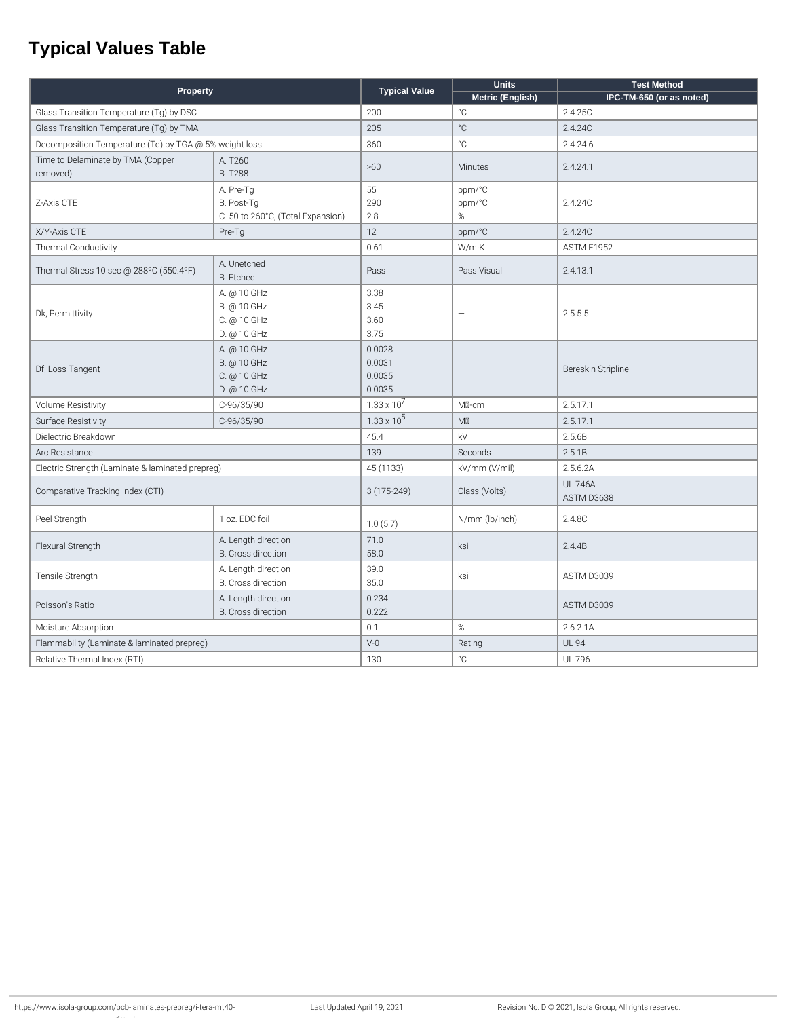## **Typical Values Table**

| Property                                               |                                                              | <b>Typical Value</b>                 | <b>Units</b>          | <b>Test Method</b>          |
|--------------------------------------------------------|--------------------------------------------------------------|--------------------------------------|-----------------------|-----------------------------|
|                                                        |                                                              |                                      | Metric (English)      | IPC-TM-650 (or as noted)    |
| Glass Transition Temperature (Tg) by DSC               |                                                              | 200                                  | $^{\circ}{\rm C}$     | 2.4.25C                     |
| Glass Transition Temperature (Tg) by TMA               |                                                              | 205                                  | $^{\circ}C$           | 2.4.24C                     |
| Decomposition Temperature (Td) by TGA @ 5% weight loss |                                                              | 360                                  | $^{\circ}$ C          | 2.4.24.6                    |
| Time to Delaminate by TMA (Copper<br>removed)          | A. T260<br><b>B. T288</b>                                    | >60                                  | Minutes               | 2.4.24.1                    |
| Z-Axis CTE                                             | A. Pre-Tg<br>B. Post-Tg<br>C. 50 to 260°C, (Total Expansion) | 55<br>290<br>2.8                     | ppm/°C<br>ppm/°C<br>% | 2.4.24C                     |
| X/Y-Axis CTE                                           | Pre-Tg                                                       | 12                                   | ppm/°C                | 2.4.24C                     |
| Thermal Conductivity                                   |                                                              | 0.61                                 | W/mK                  | <b>ASTM E1952</b>           |
| Thermal Stress 10 sec @ 288°C (550.4°F)                | A. Unetched<br>B. Etched                                     | Pass                                 | Pass Visual           | 2.4.13.1                    |
| Dk, Permittivity                                       | A. @ 10 GHz<br>B. @ 10 GHz<br>C. @ 10 GHz<br>D. @ 10 GHz     | 3.38<br>3.45<br>3.60<br>3.75         | ÷                     | 2.5.5.5                     |
| Df, Loss Tangent                                       | A. @ 10 GHz<br>B. @ 10 GHz<br>C. @ 10 GHz<br>D. @ 10 GHz     | 0.0028<br>0.0031<br>0.0035<br>0.0035 |                       | Bereskin Stripline          |
| <b>Volume Resistivity</b>                              | C-96/35/90                                                   | $1.33 \times 10^{7}$                 | MI-cm                 | 2.5.17.1                    |
| Surface Resistivity                                    | C-96/35/90                                                   | $1.33 \times 10^5$                   | M                     | 2.5.17.1                    |
| Dielectric Breakdown                                   |                                                              | 45.4                                 | kV                    | 2.5.6B                      |
| Arc Resistance                                         |                                                              | 139                                  | Seconds               | 2.5.1B                      |
| Electric Strength (Laminate & laminated prepreg)       |                                                              | 45 (1133)                            | kV/mm (V/mil)         | 2.5.6.2A                    |
| Comparative Tracking Index (CTI)                       |                                                              | $3(175-249)$                         | Class (Volts)         | <b>UL746A</b><br>ASTM D3638 |
| Peel Strength                                          | 1 oz. EDC foil                                               | 1.0(5.7)                             | N/mm (lb/inch)        | 2.4.8C                      |
| Flexural Strength                                      | A. Length direction<br>B. Cross direction                    | 71.0<br>58.0                         | ksi                   | 2.4.4B                      |
| Tensile Strength                                       | A. Length direction<br>B. Cross direction                    | 39.0<br>35.0                         | ksi                   | ASTM D3039                  |
| Poisson's Ratio                                        | A. Length direction<br>B. Cross direction                    | 0.234<br>0.222                       | $\qquad \qquad -$     | ASTM D3039                  |
| Moisture Absorption                                    |                                                              | 0.1                                  | %                     | 2.6.2.1A                    |
| Flammability (Laminate & laminated prepreg)            |                                                              | $V-0$                                | Rating                | <b>UL 94</b>                |
| Relative Thermal Index (RTI)                           |                                                              | 130                                  | $^{\circ}$ C          | <b>UL 796</b>               |